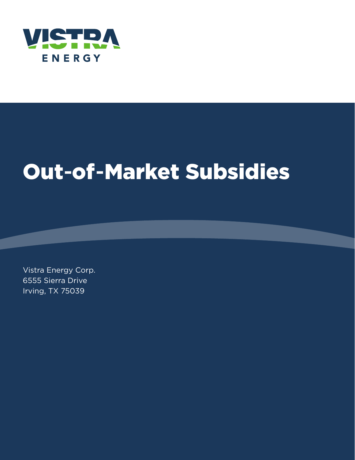

# Out -of -Market Subsidies

Vistra Energy Corp. 6555 Sierra Drive Irving, TX 75039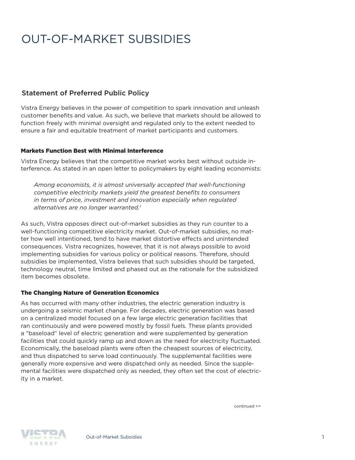### Statement of Preferred Public Policy

Vistra Energy believes in the power of competition to spark innovation and unleash customer benefits and value. As such, we believe that markets should be allowed to function freely with minimal oversight and regulated only to the extent needed to ensure a fair and equitable treatment of market participants and customers.

#### Markets Function Best with Minimal Interference

Vistra Energy believes that the competitive market works best without outside interference. As stated in an open letter to policymakers by eight leading economists:

*Among economists, it is almost universally accepted that well-functioning competitive electricity markets yield the greatest benefits to consumers in terms of price, investment and innovation especially when regulated alternatives are no longer warranted.1*

As such, Vistra opposes direct out-of-market subsidies as they run counter to a well-functioning competitive electricity market. Out-of-market subsidies, no matter how well intentioned, tend to have market distortive effects and unintended consequences. Vistra recognizes, however, that it is not always possible to avoid implementing subsidies for various policy or political reasons. Therefore, should subsidies be implemented, Vistra believes that such subsidies should be targeted, technology neutral, time limited and phased out as the rationale for the subsidized item becomes obsolete.

#### The Changing Nature of Generation Economics

As has occurred with many other industries, the electric generation industry is undergoing a seismic market change. For decades, electric generation was based on a centralized model focused on a few large electric generation facilities that ran continuously and were powered mostly by fossil fuels. These plants provided a "baseload" level of electric generation and were supplemented by generation facilities that could quickly ramp up and down as the need for electricity fluctuated. Economically, the baseload plants were often the cheapest sources of electricity, and thus dispatched to serve load continuously. The supplemental facilities were generally more expensive and were dispatched only as needed. Since the supplemental facilities were dispatched only as needed, they often set the cost of electricity in a market.

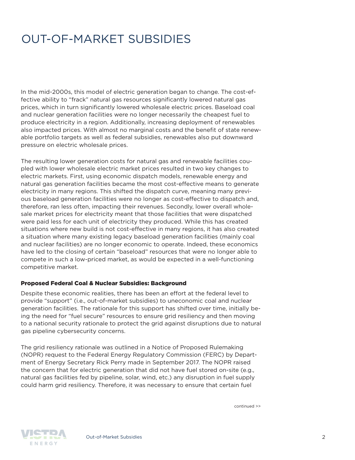In the mid-2000s, this model of electric generation began to change. The cost-effective ability to "frack" natural gas resources significantly lowered natural gas prices, which in turn significantly lowered wholesale electric prices. Baseload coal and nuclear generation facilities were no longer necessarily the cheapest fuel to produce electricity in a region. Additionally, increasing deployment of renewables also impacted prices. With almost no marginal costs and the benefit of state renewable portfolio targets as well as federal subsidies, renewables also put downward pressure on electric wholesale prices.

The resulting lower generation costs for natural gas and renewable facilities coupled with lower wholesale electric market prices resulted in two key changes to electric markets. First, using economic dispatch models, renewable energy and natural gas generation facilities became the most cost-effective means to generate electricity in many regions. This shifted the dispatch curve, meaning many previous baseload generation facilities were no longer as cost-effective to dispatch and, therefore, ran less often, impacting their revenues. Secondly, lower overall wholesale market prices for electricity meant that those facilities that were dispatched were paid less for each unit of electricity they produced. While this has created situations where new build is not cost-effective in many regions, it has also created a situation where many existing legacy baseload generation facilities (mainly coal and nuclear facilities) are no longer economic to operate. Indeed, these economics have led to the closing of certain "baseload" resources that were no longer able to compete in such a low-priced market, as would be expected in a well-functioning competitive market.

#### Proposed Federal Coal & Nuclear Subsidies: Background

Despite these economic realities, there has been an effort at the federal level to provide "support" (i.e., out-of-market subsidies) to uneconomic coal and nuclear generation facilities. The rationale for this support has shifted over time, initially being the need for "fuel secure" resources to ensure grid resiliency and then moving to a national security rationale to protect the grid against disruptions due to natural gas pipeline cybersecurity concerns.

The grid resiliency rationale was outlined in a Notice of Proposed Rulemaking (NOPR) request to the Federal Energy Regulatory Commission (FERC) by Department of Energy Secretary Rick Perry made in September 2017. The NOPR raised the concern that for electric generation that did not have fuel stored on-site (e.g., natural gas facilities fed by pipeline, solar, wind, etc.) any disruption in fuel supply could harm grid resiliency. Therefore, it was necessary to ensure that certain fuel

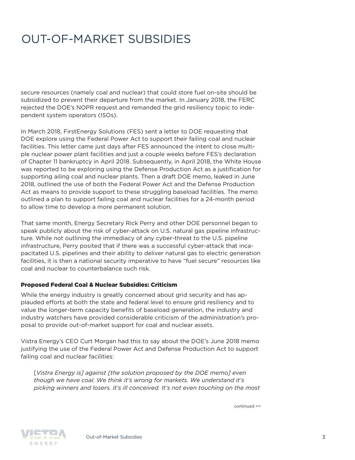secure resources (namely coal and nuclear) that could store fuel on-site should be subsidized to prevent their departure from the market. In January 2018, the FERC rejected the DOE's NOPR request and remanded the grid resiliency topic to independent system operators (ISOs).

In March 2018, FirstEnergy Solutions (FES) sent a letter to DOE requesting that DOE explore using the Federal Power Act to support their failing coal and nuclear facilities. This letter came just days after FES announced the intent to close multiple nuclear power plant facilities and just a couple weeks before FES's declaration of Chapter 11 bankruptcy in April 2018. Subsequently, in April 2018, the White House was reported to be exploring using the Defense Production Act as a justification for supporting ailing coal and nuclear plants. Then a draft DOE memo, leaked in June 2018, outlined the use of both the Federal Power Act and the Defense Production Act as means to provide support to these struggling baseload facilities. The memo outlined a plan to support failing coal and nuclear facilities for a 24-month period to allow time to develop a more permanent solution.

That same month, Energy Secretary Rick Perry and other DOE personnel began to speak publicly about the risk of cyber-attack on U.S. natural gas pipeline infrastructure. While not outlining the immediacy of any cyber-threat to the U.S. pipeline infrastructure, Perry posited that if there was a successful cyber-attack that incapacitated U.S. pipelines and their ability to deliver natural gas to electric generation facilities, it is then a national security imperative to have "fuel secure" resources like coal and nuclear to counterbalance such risk.

#### Proposed Federal Coal & Nuclear Subsidies: Criticism

While the energy industry is greatly concerned about grid security and has applauded efforts at both the state and federal level to ensure grid resiliency and to value the longer-term capacity benefits of baseload generation, the industry and industry watchers have provided considerable criticism of the administration's proposal to provide out-of-market support for coal and nuclear assets.

Vistra Energy's CEO Curt Morgan had this to say about the DOE's June 2018 memo justifying the use of the Federal Power Act and Defense Production Act to support failing coal and nuclear facilities:

[*Vistra Energy is] against [the solution proposed by the DOE memo] even though we have coal. We think it's wrong for markets. We understand it's picking winners and losers. It's ill conceived. It's not even touching on the most* 

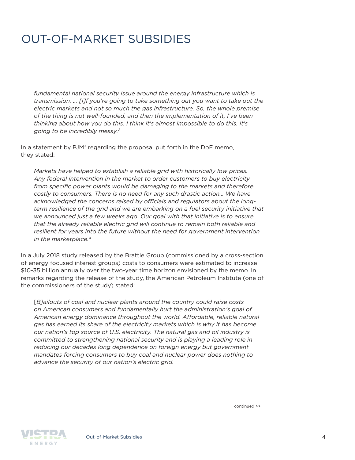*fundamental national security issue around the energy infrastructure which is transmission. … [I]f you're going to take something out you want to take out the electric markets and not so much the gas infrastructure. So, the whole premise of the thing is not well-founded, and then the implementation of it, I've been thinking about how you do this. I think it's almost impossible to do this. It's going to be incredibly messy.2*

In a statement by  $PJM<sup>3</sup>$  regarding the proposal put forth in the DoE memo, they stated:

*Markets have helped to establish a reliable grid with historically low prices. Any federal intervention in the market to order customers to buy electricity from specific power plants would be damaging to the markets and therefore costly to consumers. There is no need for any such drastic action… We have acknowledged the concerns raised by officials and regulators about the longterm resilience of the grid and we are embarking on a fuel security initiative that we announced just a few weeks ago. Our goal with that initiative is to ensure that the already reliable electric grid will continue to remain both reliable and resilient for years into the future without the need for government intervention in the marketplace.*<sup>4</sup>

In a July 2018 study released by the Brattle Group (commissioned by a cross-section of energy focused interest groups) costs to consumers were estimated to increase \$10-35 billion annually over the two-year time horizon envisioned by the memo. In remarks regarding the release of the study, the American Petroleum Institute (one of the commissioners of the study) stated:

[*B]ailouts of coal and nuclear plants around the country could raise costs on American consumers and fundamentally hurt the administration's goal of American energy dominance throughout the world. Affordable, reliable natural gas has earned its share of the electricity markets which is why it has become our nation's top source of U.S. electricity. The natural gas and oil industry is committed to strengthening national security and is playing a leading role in reducing our decades long dependence on foreign energy but government mandates forcing consumers to buy coal and nuclear power does nothing to advance the security of our nation's electric grid.*

**STATISTICS NERGY** 

Out-of-Market Subsidies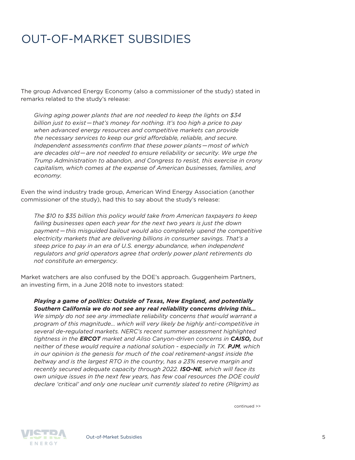The group Advanced Energy Economy (also a commissioner of the study) stated in remarks related to the study's release:

*Giving aging power plants that are not needed to keep the lights on \$34 billion just to exist—that's money for nothing. It's too high a price to pay when advanced energy resources and competitive markets can provide the necessary services to keep our grid affordable, reliable, and secure. Independent assessments confirm that these power plants—most of which are decades old—are not needed to ensure reliability or security. We urge the Trump Administration to abandon, and Congress to resist, this exercise in crony capitalism, which comes at the expense of American businesses, families, and economy.*

Even the wind industry trade group, American Wind Energy Association (another commissioner of the study), had this to say about the study's release:

*The \$10 to \$35 billion this policy would take from American taxpayers to keep failing businesses open each year for the next two years is just the down payment—this misguided bailout would also completely upend the competitive electricity markets that are delivering billions in consumer savings. That's a steep price to pay in an era of U.S. energy abundance, when independent regulators and grid operators agree that orderly power plant retirements do not constitute an emergency.*

Market watchers are also confused by the DOE's approach. Guggenheim Partners, an investing firm, in a June 2018 note to investors stated:

*Playing a game of politics: Outside of Texas, New England, and potentially Southern California we do not see any real reliability concerns driving this…*

*We simply do not see any immediate reliability concerns that would warrant a program of this magnitude… which will very likely be highly anti-competitive in several de-regulated markets. NERC's recent summer assessment highlighted tightness in the ERCOT market and Aliso Canyon-driven concerns in CAISO, but neither of these would require a national solution - especially in TX. PJM, which in our opinion is the genesis for much of the coal retirement-angst inside the beltway and is the largest RTO in the country, has a 23% reserve margin and recently secured adequate capacity through 2022. ISO-NE, which will face its own unique issues in the next few years, has few coal resources the DOE could declare 'critical' and only one nuclear unit currently slated to retire (Pilgrim) as*